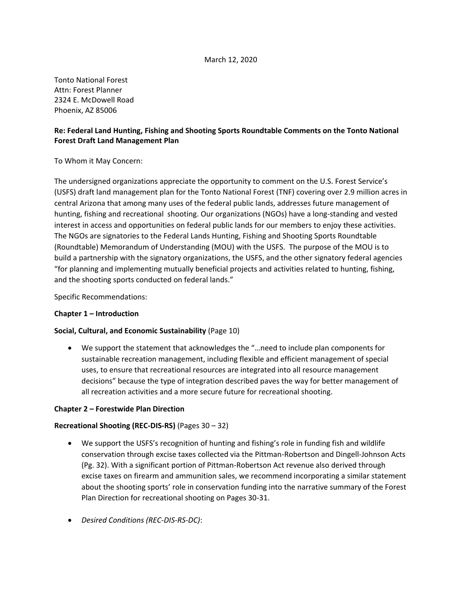#### March 12, 2020

Tonto National Forest Attn: Forest Planner 2324 E. McDowell Road Phoenix, AZ 85006

# **Re: Federal Land Hunting, Fishing and Shooting Sports Roundtable Comments on the Tonto National Forest Draft Land Management Plan**

To Whom it May Concern:

The undersigned organizations appreciate the opportunity to comment on the U.S. Forest Service's (USFS) draft land management plan for the Tonto National Forest (TNF) covering over 2.9 million acres in central Arizona that among many uses of the federal public lands, addresses future management of hunting, fishing and recreational shooting. Our organizations (NGOs) have a long-standing and vested interest in access and opportunities on federal public lands for our members to enjoy these activities. The NGOs are signatories to the Federal Lands Hunting, Fishing and Shooting Sports Roundtable (Roundtable) Memorandum of Understanding (MOU) with the USFS. The purpose of the MOU is to build a partnership with the signatory organizations, the USFS, and the other signatory federal agencies "for planning and implementing mutually beneficial projects and activities related to hunting, fishing, and the shooting sports conducted on federal lands."

Specific Recommendations:

### **Chapter 1 – Introduction**

#### **Social, Cultural, and Economic Sustainability** (Page 10)

• We support the statement that acknowledges the "…need to include plan components for sustainable recreation management, including flexible and efficient management of special uses, to ensure that recreational resources are integrated into all resource management decisions" because the type of integration described paves the way for better management of all recreation activities and a more secure future for recreational shooting.

### **Chapter 2 – Forestwide Plan Direction**

### **Recreational Shooting (REC-DIS-RS)** (Pages 30 – 32)

- We support the USFS's recognition of hunting and fishing's role in funding fish and wildlife conservation through excise taxes collected via the Pittman-Robertson and Dingell-Johnson Acts (Pg. 32). With a significant portion of Pittman-Robertson Act revenue also derived through excise taxes on firearm and ammunition sales, we recommend incorporating a similar statement about the shooting sports' role in conservation funding into the narrative summary of the Forest Plan Direction for recreational shooting on Pages 30-31.
- *Desired Conditions (REC-DIS-RS-DC)*: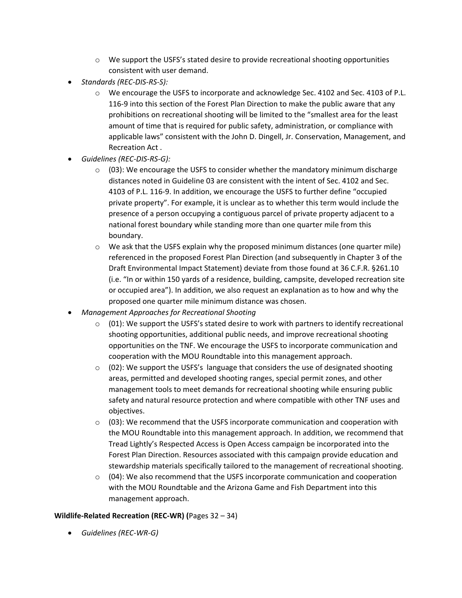- $\circ$  We support the USFS's stated desire to provide recreational shooting opportunities consistent with user demand.
- *Standards (REC-DIS-RS-S):*
	- o We encourage the USFS to incorporate and acknowledge Sec. 4102 and Sec. 4103 of P.L. 116-9 into this section of the Forest Plan Direction to make the public aware that any prohibitions on recreational shooting will be limited to the "smallest area for the least amount of time that is required for public safety, administration, or compliance with applicable laws" consistent with the John D. Dingell, Jr. Conservation, Management, and Recreation Act .
- *Guidelines (REC-DIS-RS-G):*
	- $\circ$  (03): We encourage the USFS to consider whether the mandatory minimum discharge distances noted in Guideline 03 are consistent with the intent of Sec. 4102 and Sec. 4103 of P.L. 116-9. In addition, we encourage the USFS to further define "occupied private property". For example, it is unclear as to whether this term would include the presence of a person occupying a contiguous parcel of private property adjacent to a national forest boundary while standing more than one quarter mile from this boundary.
	- $\circ$  We ask that the USFS explain why the proposed minimum distances (one quarter mile) referenced in the proposed Forest Plan Direction (and subsequently in Chapter 3 of the Draft Environmental Impact Statement) deviate from those found at 36 C.F.R. §261.10 (i.e. "In or within 150 yards of a residence, building, campsite, developed recreation site or occupied area"). In addition, we also request an explanation as to how and why the proposed one quarter mile minimum distance was chosen.
- *Management Approaches for Recreational Shooting*
	- $\circ$  (01): We support the USFS's stated desire to work with partners to identify recreational shooting opportunities, additional public needs, and improve recreational shooting opportunities on the TNF. We encourage the USFS to incorporate communication and cooperation with the MOU Roundtable into this management approach.
	- $\circ$  (02): We support the USFS's language that considers the use of designated shooting areas, permitted and developed shooting ranges, special permit zones, and other management tools to meet demands for recreational shooting while ensuring public safety and natural resource protection and where compatible with other TNF uses and objectives.
	- $\circ$  (03): We recommend that the USFS incorporate communication and cooperation with the MOU Roundtable into this management approach. In addition, we recommend that Tread Lightly's Respected Access is Open Access campaign be incorporated into the Forest Plan Direction. Resources associated with this campaign provide education and stewardship materials specifically tailored to the management of recreational shooting.
	- $\circ$  (04): We also recommend that the USFS incorporate communication and cooperation with the MOU Roundtable and the Arizona Game and Fish Department into this management approach.

### **Wildlife-Related Recreation (REC-WR) (**Pages 32 – 34)

• *Guidelines (REC-WR-G)*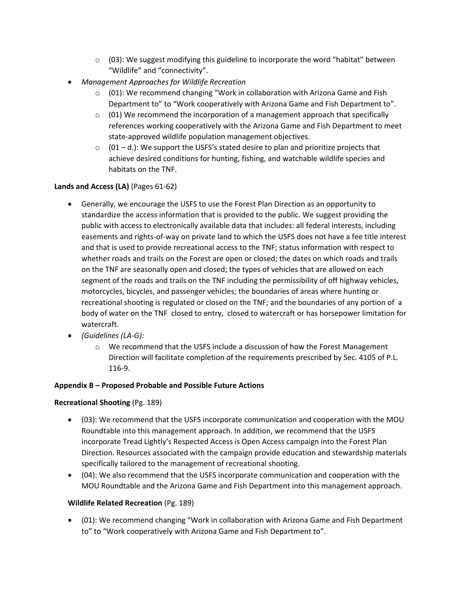- $\circ$  (03): We suggest modifying this guideline to incorporate the word "habitat" between "Wildlife" and "connectivity".
- *Management Approaches for Wildlife Recreation*
	- $\circ$  (01): We recommend changing "Work in collaboration with Arizona Game and Fish Department to" to "Work cooperatively with Arizona Game and Fish Department to".
	- $\circ$  (01) We recommend the incorporation of a management approach that specifically references working cooperatively with the Arizona Game and Fish Department to meet state-approved wildlife population management objectives.
	- $\circ$  (01 d.): We support the USFS's stated desire to plan and prioritize projects that achieve desired conditions for hunting, fishing, and watchable wildlife species and habitats on the TNF.

# **Lands and Access (LA)** (Pages 61-62)

- Generally, we encourage the USFS to use the Forest Plan Direction as an opportunity to standardize the access information that is provided to the public. We suggest providing the public with access to electronically available data that includes: all federal interests, including easements and rights-of-way on private land to which the USFS does not have a fee title interest and that is used to provide recreational access to the TNF; status information with respect to whether roads and trails on the Forest are open or closed; the dates on which roads and trails on the TNF are seasonally open and closed; the types of vehicles that are allowed on each segment of the roads and trails on the TNF including the permissibility of off highway vehicles, motorcycles, bicycles, and passenger vehicles; the boundaries of areas where hunting or recreational shooting is regulated or closed on the TNF; and the boundaries of any portion of a body of water on the TNF closed to entry, closed to watercraft or has horsepower limitation for watercraft.
- *(Guidelines (LA-G):* 
	- $\circ$  We recommend that the USFS include a discussion of how the Forest Management Direction will facilitate completion of the requirements prescribed by Sec. 4105 of P.L. 116-9.

### **Appendix B – Proposed Probable and Possible Future Actions**

### **Recreational Shooting** (Pg. 189)

- (03): We recommend that the USFS incorporate communication and cooperation with the MOU Roundtable into this management approach. In addition, we recommend that the USFS incorporate Tread Lightly's Respected Access is Open Access campaign into the Forest Plan Direction. Resources associated with the campaign provide education and stewardship materials specifically tailored to the management of recreational shooting.
- (04): We also recommend that the USFS incorporate communication and cooperation with the MOU Roundtable and the Arizona Game and Fish Department into this management approach.

### **Wildlife Related Recreation** (Pg. 189)

• (01): We recommend changing "Work in collaboration with Arizona Game and Fish Department to" to "Work cooperatively with Arizona Game and Fish Department to".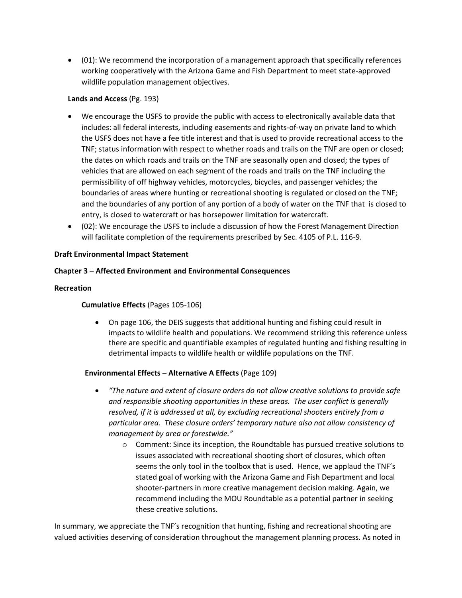• (01): We recommend the incorporation of a management approach that specifically references working cooperatively with the Arizona Game and Fish Department to meet state-approved wildlife population management objectives.

# **Lands and Access** (Pg. 193)

- We encourage the USFS to provide the public with access to electronically available data that includes: all federal interests, including easements and rights-of-way on private land to which the USFS does not have a fee title interest and that is used to provide recreational access to the TNF; status information with respect to whether roads and trails on the TNF are open or closed; the dates on which roads and trails on the TNF are seasonally open and closed; the types of vehicles that are allowed on each segment of the roads and trails on the TNF including the permissibility of off highway vehicles, motorcycles, bicycles, and passenger vehicles; the boundaries of areas where hunting or recreational shooting is regulated or closed on the TNF; and the boundaries of any portion of any portion of a body of water on the TNF that is closed to entry, is closed to watercraft or has horsepower limitation for watercraft.
- (02): We encourage the USFS to include a discussion of how the Forest Management Direction will facilitate completion of the requirements prescribed by Sec. 4105 of P.L. 116-9.

## **Draft Environmental Impact Statement**

## **Chapter 3 – Affected Environment and Environmental Consequences**

### **Recreation**

### **Cumulative Effects** (Pages 105-106)

• On page 106, the DEIS suggests that additional hunting and fishing could result in impacts to wildlife health and populations. We recommend striking this reference unless there are specific and quantifiable examples of regulated hunting and fishing resulting in detrimental impacts to wildlife health or wildlife populations on the TNF.

### **Environmental Effects – Alternative A Effects** (Page 109)

- *"The nature and extent of closure orders do not allow creative solutions to provide safe and responsible shooting opportunities in these areas. The user conflict is generally resolved, if it is addressed at all, by excluding recreational shooters entirely from a particular area. These closure orders' temporary nature also not allow consistency of management by area or forestwide."*
	- o Comment: Since its inception, the Roundtable has pursued creative solutions to issues associated with recreational shooting short of closures, which often seems the only tool in the toolbox that is used. Hence, we applaud the TNF's stated goal of working with the Arizona Game and Fish Department and local shooter-partners in more creative management decision making. Again, we recommend including the MOU Roundtable as a potential partner in seeking these creative solutions.

In summary, we appreciate the TNF's recognition that hunting, fishing and recreational shooting are valued activities deserving of consideration throughout the management planning process. As noted in